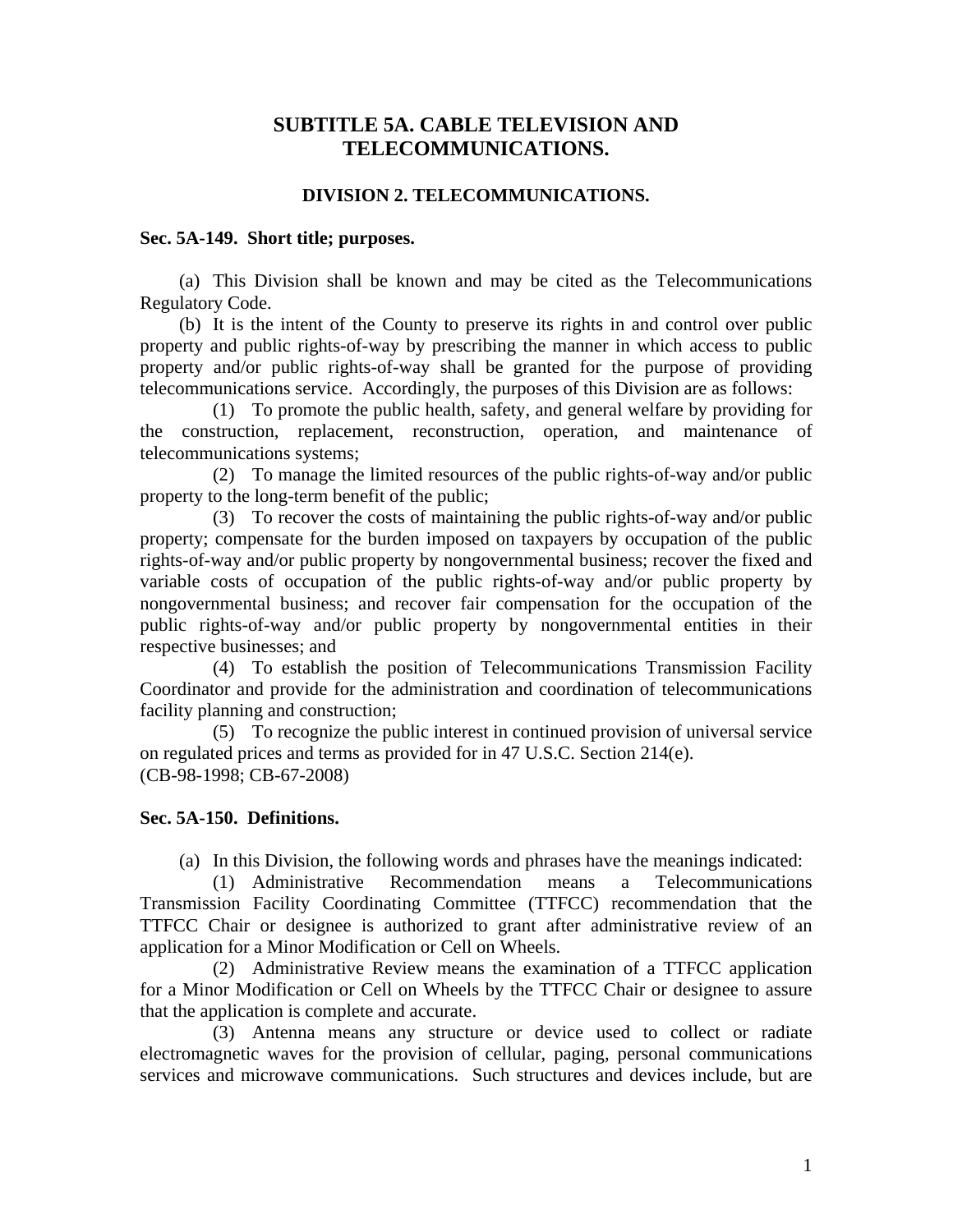# **SUBTITLE 5A. CABLE TELEVISION AND TELECOMMUNICATIONS.**

## **DIVISION 2. TELECOMMUNICATIONS.**

## **Sec. 5A-149. Short title; purposes.**

 (a) This Division shall be known and may be cited as the Telecommunications Regulatory Code.

 (b) It is the intent of the County to preserve its rights in and control over public property and public rights-of-way by prescribing the manner in which access to public property and/or public rights-of-way shall be granted for the purpose of providing telecommunications service. Accordingly, the purposes of this Division are as follows:

 (1) To promote the public health, safety, and general welfare by providing for the construction, replacement, reconstruction, operation, and maintenance of telecommunications systems;

 (2) To manage the limited resources of the public rights-of-way and/or public property to the long-term benefit of the public;

 (3) To recover the costs of maintaining the public rights-of-way and/or public property; compensate for the burden imposed on taxpayers by occupation of the public rights-of-way and/or public property by nongovernmental business; recover the fixed and variable costs of occupation of the public rights-of-way and/or public property by nongovernmental business; and recover fair compensation for the occupation of the public rights-of-way and/or public property by nongovernmental entities in their respective businesses; and

 (4) To establish the position of Telecommunications Transmission Facility Coordinator and provide for the administration and coordination of telecommunications facility planning and construction;

 (5) To recognize the public interest in continued provision of universal service on regulated prices and terms as provided for in 47 U.S.C. Section 214(e). (CB-98-1998; CB-67-2008)

## **Sec. 5A-150. Definitions.**

(a) In this Division, the following words and phrases have the meanings indicated:

 (1) Administrative Recommendation means a Telecommunications Transmission Facility Coordinating Committee (TTFCC) recommendation that the TTFCC Chair or designee is authorized to grant after administrative review of an application for a Minor Modification or Cell on Wheels.

 (2) Administrative Review means the examination of a TTFCC application for a Minor Modification or Cell on Wheels by the TTFCC Chair or designee to assure that the application is complete and accurate.

 (3) Antenna means any structure or device used to collect or radiate electromagnetic waves for the provision of cellular, paging, personal communications services and microwave communications. Such structures and devices include, but are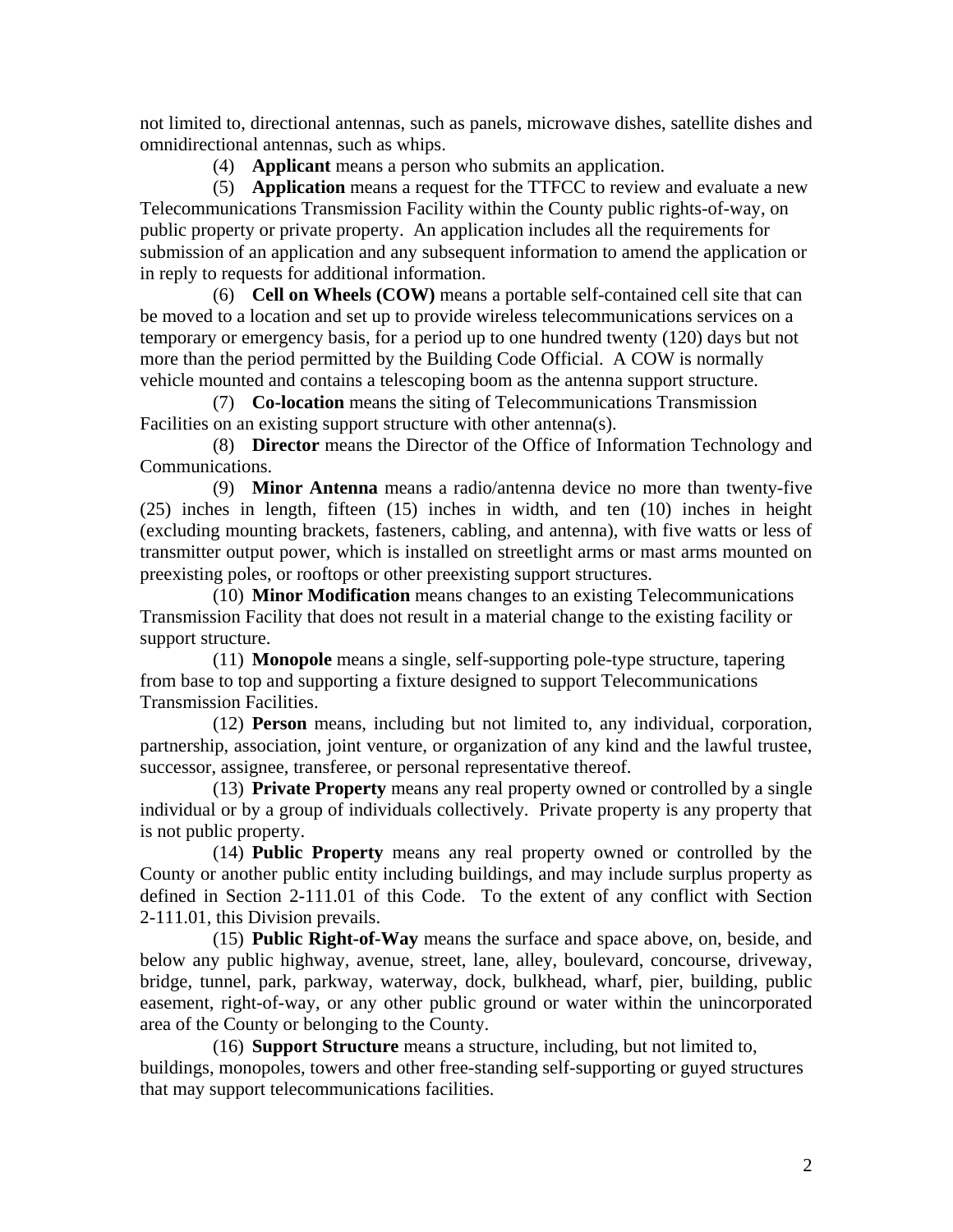not limited to, directional antennas, such as panels, microwave dishes, satellite dishes and omnidirectional antennas, such as whips.

(4) **Applicant** means a person who submits an application.

 (5) **Application** means a request for the TTFCC to review and evaluate a new Telecommunications Transmission Facility within the County public rights-of-way, on public property or private property. An application includes all the requirements for submission of an application and any subsequent information to amend the application or in reply to requests for additional information.

 (6) **Cell on Wheels (COW)** means a portable self-contained cell site that can be moved to a location and set up to provide wireless telecommunications services on a temporary or emergency basis, for a period up to one hundred twenty (120) days but not more than the period permitted by the Building Code Official. A COW is normally vehicle mounted and contains a telescoping boom as the antenna support structure.

 (7) **Co-location** means the siting of Telecommunications Transmission Facilities on an existing support structure with other antenna(s).

 (8) **Director** means the Director of the Office of Information Technology and Communications.

 (9) **Minor Antenna** means a radio/antenna device no more than twenty-five (25) inches in length, fifteen (15) inches in width, and ten (10) inches in height (excluding mounting brackets, fasteners, cabling, and antenna), with five watts or less of transmitter output power, which is installed on streetlight arms or mast arms mounted on preexisting poles, or rooftops or other preexisting support structures.

 (10) **Minor Modification** means changes to an existing Telecommunications Transmission Facility that does not result in a material change to the existing facility or support structure.

 (11) **Monopole** means a single, self-supporting pole-type structure, tapering from base to top and supporting a fixture designed to support Telecommunications Transmission Facilities.

 (12) **Person** means, including but not limited to, any individual, corporation, partnership, association, joint venture, or organization of any kind and the lawful trustee, successor, assignee, transferee, or personal representative thereof.

 (13) **Private Property** means any real property owned or controlled by a single individual or by a group of individuals collectively. Private property is any property that is not public property.

 (14) **Public Property** means any real property owned or controlled by the County or another public entity including buildings, and may include surplus property as defined in Section 2-111.01 of this Code. To the extent of any conflict with Section 2-111.01, this Division prevails.

 (15) **Public Right-of-Way** means the surface and space above, on, beside, and below any public highway, avenue, street, lane, alley, boulevard, concourse, driveway, bridge, tunnel, park, parkway, waterway, dock, bulkhead, wharf, pier, building, public easement, right-of-way, or any other public ground or water within the unincorporated area of the County or belonging to the County.

 (16) **Support Structure** means a structure, including, but not limited to, buildings, monopoles, towers and other free-standing self-supporting or guyed structures that may support telecommunications facilities.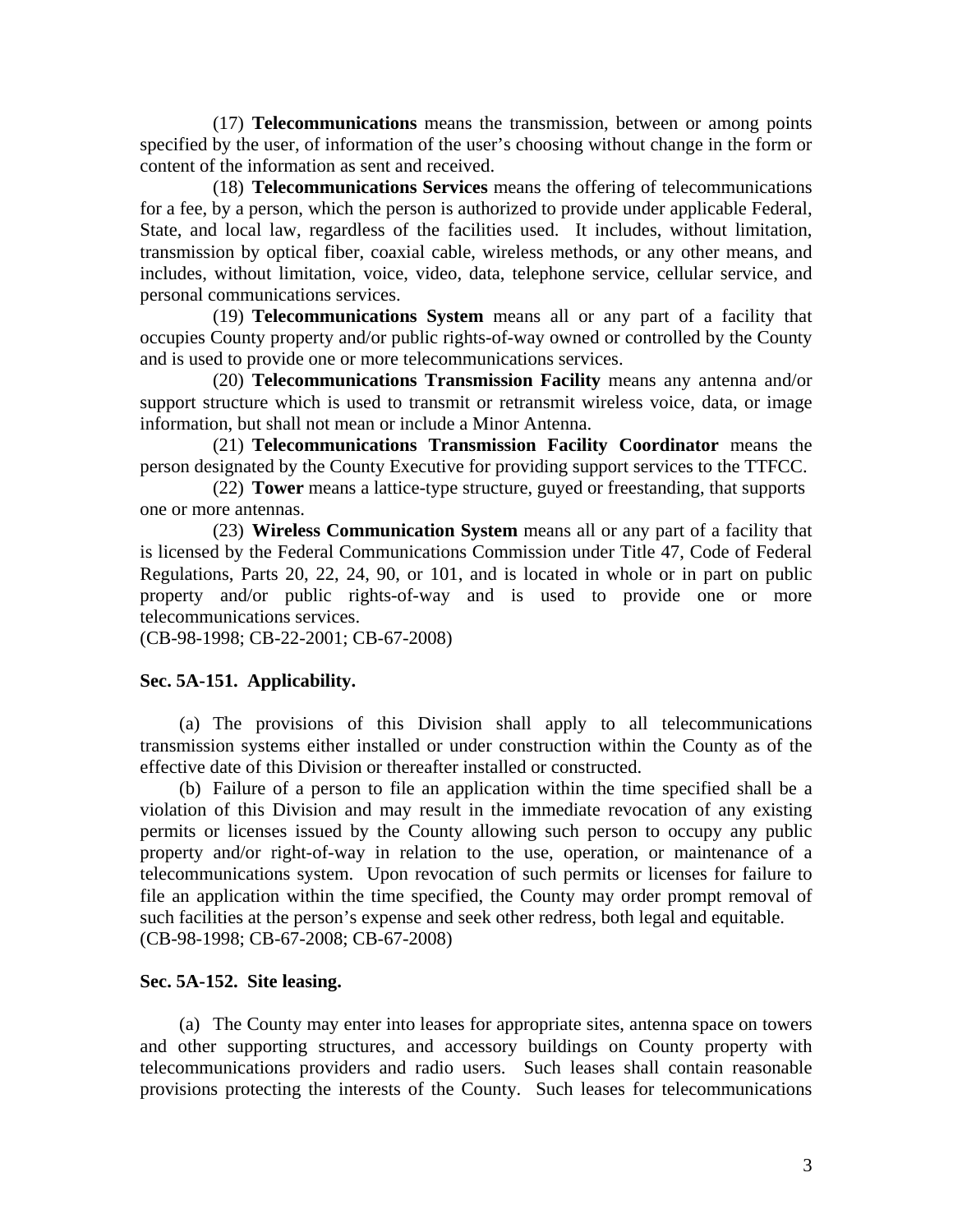(17) **Telecommunications** means the transmission, between or among points specified by the user, of information of the user's choosing without change in the form or content of the information as sent and received.

 (18) **Telecommunications Services** means the offering of telecommunications for a fee, by a person, which the person is authorized to provide under applicable Federal, State, and local law, regardless of the facilities used. It includes, without limitation, transmission by optical fiber, coaxial cable, wireless methods, or any other means, and includes, without limitation, voice, video, data, telephone service, cellular service, and personal communications services.

 (19) **Telecommunications System** means all or any part of a facility that occupies County property and/or public rights-of-way owned or controlled by the County and is used to provide one or more telecommunications services.

 (20) **Telecommunications Transmission Facility** means any antenna and/or support structure which is used to transmit or retransmit wireless voice, data, or image information, but shall not mean or include a Minor Antenna.

 (21) **Telecommunications Transmission Facility Coordinator** means the person designated by the County Executive for providing support services to the TTFCC.

 (22) **Tower** means a lattice-type structure, guyed or freestanding, that supports one or more antennas.

 (23) **Wireless Communication System** means all or any part of a facility that is licensed by the Federal Communications Commission under Title 47, Code of Federal Regulations, Parts 20, 22, 24, 90, or 101, and is located in whole or in part on public property and/or public rights-of-way and is used to provide one or more telecommunications services.

(CB-98-1998; CB-22-2001; CB-67-2008)

# **Sec. 5A-151. Applicability.**

 (a) The provisions of this Division shall apply to all telecommunications transmission systems either installed or under construction within the County as of the effective date of this Division or thereafter installed or constructed.

 (b) Failure of a person to file an application within the time specified shall be a violation of this Division and may result in the immediate revocation of any existing permits or licenses issued by the County allowing such person to occupy any public property and/or right-of-way in relation to the use, operation, or maintenance of a telecommunications system. Upon revocation of such permits or licenses for failure to file an application within the time specified, the County may order prompt removal of such facilities at the person's expense and seek other redress, both legal and equitable. (CB-98-1998; CB-67-2008; CB-67-2008)

# **Sec. 5A-152. Site leasing.**

 (a) The County may enter into leases for appropriate sites, antenna space on towers and other supporting structures, and accessory buildings on County property with telecommunications providers and radio users. Such leases shall contain reasonable provisions protecting the interests of the County. Such leases for telecommunications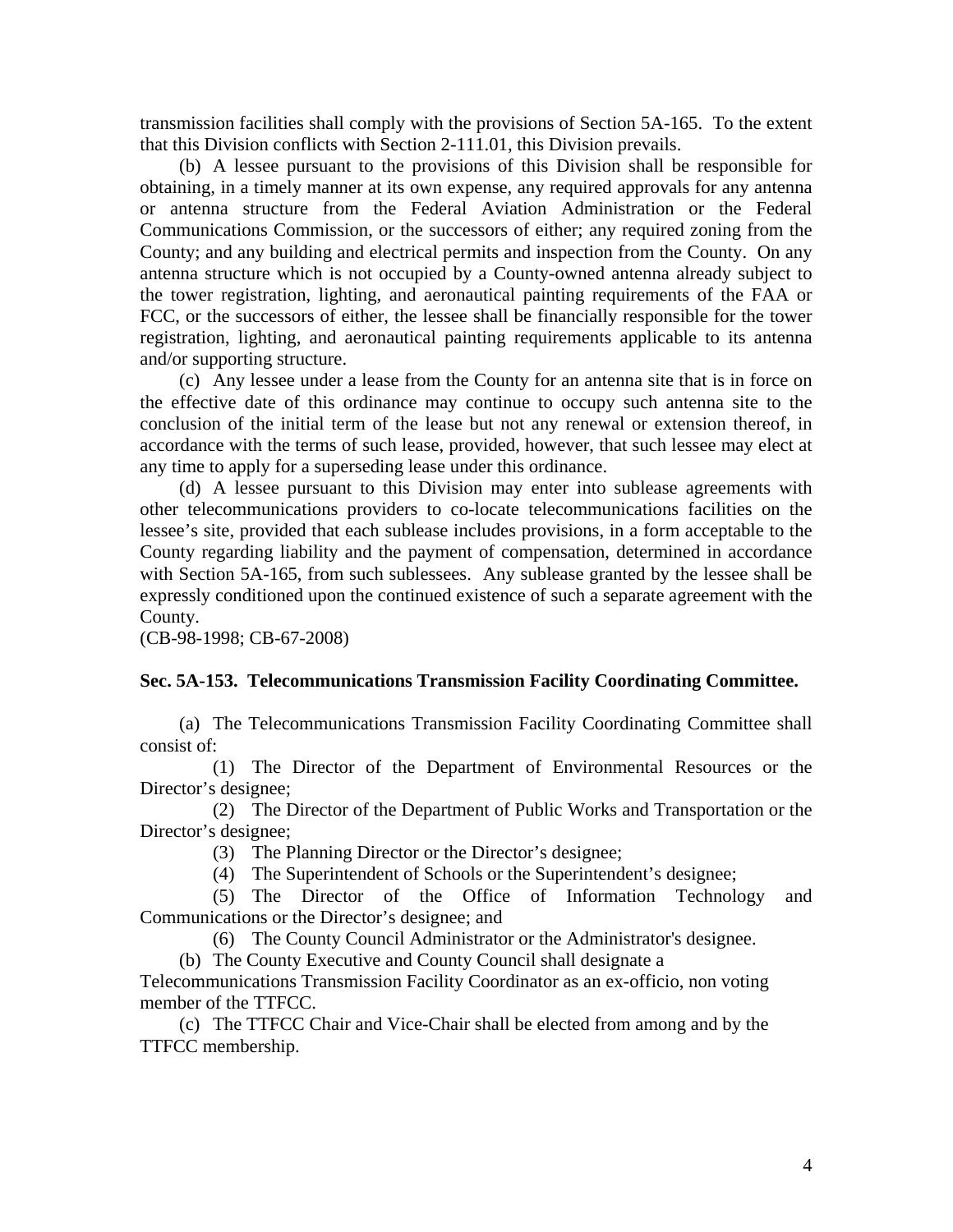transmission facilities shall comply with the provisions of Section 5A-165. To the extent that this Division conflicts with Section 2-111.01, this Division prevails.

 (b) A lessee pursuant to the provisions of this Division shall be responsible for obtaining, in a timely manner at its own expense, any required approvals for any antenna or antenna structure from the Federal Aviation Administration or the Federal Communications Commission, or the successors of either; any required zoning from the County; and any building and electrical permits and inspection from the County. On any antenna structure which is not occupied by a County-owned antenna already subject to the tower registration, lighting, and aeronautical painting requirements of the FAA or FCC, or the successors of either, the lessee shall be financially responsible for the tower registration, lighting, and aeronautical painting requirements applicable to its antenna and/or supporting structure.

 (c) Any lessee under a lease from the County for an antenna site that is in force on the effective date of this ordinance may continue to occupy such antenna site to the conclusion of the initial term of the lease but not any renewal or extension thereof, in accordance with the terms of such lease, provided, however, that such lessee may elect at any time to apply for a superseding lease under this ordinance.

 (d) A lessee pursuant to this Division may enter into sublease agreements with other telecommunications providers to co-locate telecommunications facilities on the lessee's site, provided that each sublease includes provisions, in a form acceptable to the County regarding liability and the payment of compensation, determined in accordance with Section 5A-165, from such sublessees. Any sublease granted by the lessee shall be expressly conditioned upon the continued existence of such a separate agreement with the County.

(CB-98-1998; CB-67-2008)

#### **Sec. 5A-153. Telecommunications Transmission Facility Coordinating Committee.**

 (a) The Telecommunications Transmission Facility Coordinating Committee shall consist of:

 (1) The Director of the Department of Environmental Resources or the Director's designee;

 (2) The Director of the Department of Public Works and Transportation or the Director's designee;

(3) The Planning Director or the Director's designee;

(4) The Superintendent of Schools or the Superintendent's designee;

 (5) The Director of the Office of Information Technology and Communications or the Director's designee; and

(6) The County Council Administrator or the Administrator's designee.

(b) The County Executive and County Council shall designate a

Telecommunications Transmission Facility Coordinator as an ex-officio, non voting member of the TTFCC.

 (c) The TTFCC Chair and Vice-Chair shall be elected from among and by the TTFCC membership.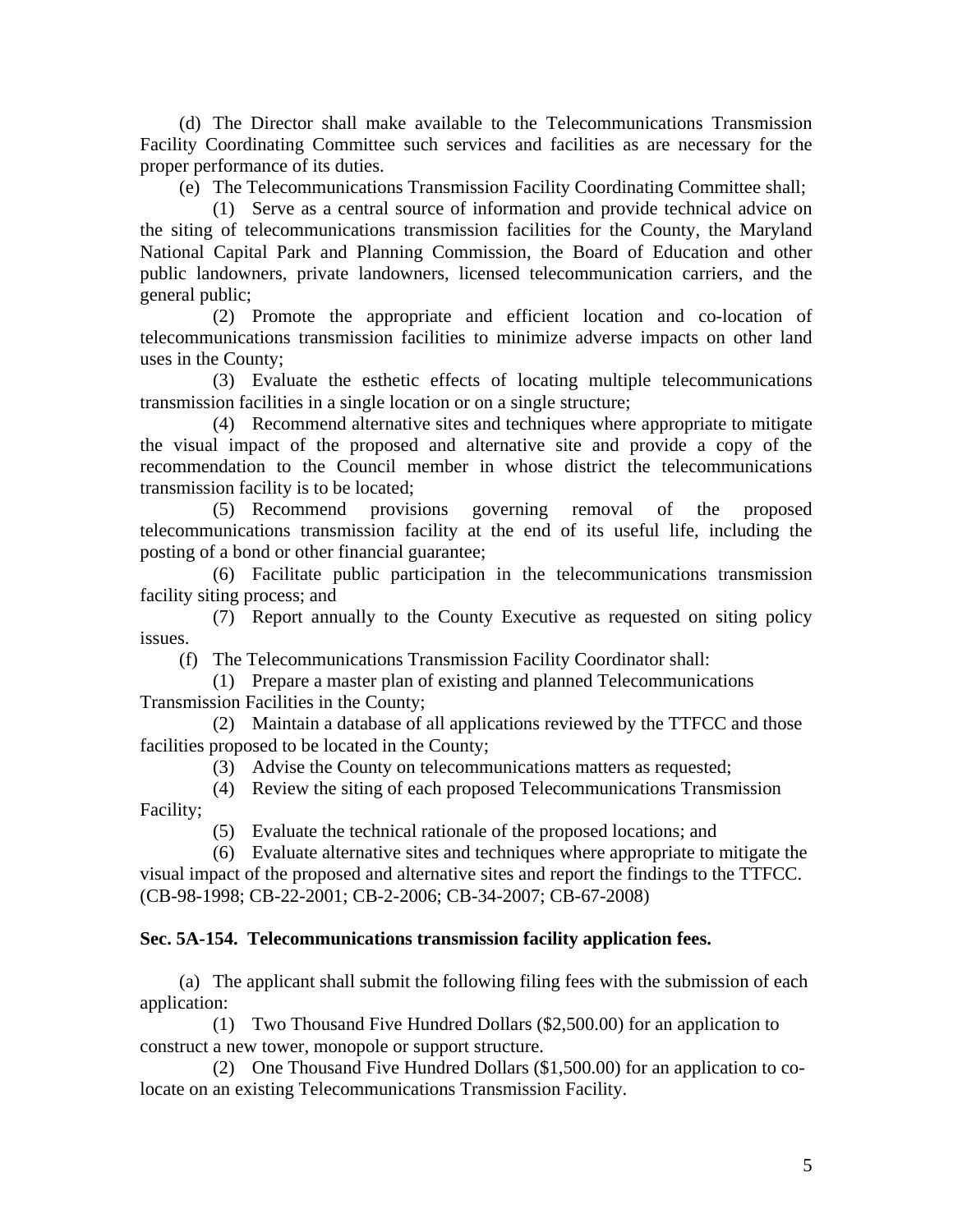(d) The Director shall make available to the Telecommunications Transmission Facility Coordinating Committee such services and facilities as are necessary for the proper performance of its duties.

(e) The Telecommunications Transmission Facility Coordinating Committee shall;

 (1) Serve as a central source of information and provide technical advice on the siting of telecommunications transmission facilities for the County, the Maryland National Capital Park and Planning Commission, the Board of Education and other public landowners, private landowners, licensed telecommunication carriers, and the general public;

 (2) Promote the appropriate and efficient location and co-location of telecommunications transmission facilities to minimize adverse impacts on other land uses in the County;

 (3) Evaluate the esthetic effects of locating multiple telecommunications transmission facilities in a single location or on a single structure;

 (4) Recommend alternative sites and techniques where appropriate to mitigate the visual impact of the proposed and alternative site and provide a copy of the recommendation to the Council member in whose district the telecommunications transmission facility is to be located;

 (5) Recommend provisions governing removal of the proposed telecommunications transmission facility at the end of its useful life, including the posting of a bond or other financial guarantee;

 (6) Facilitate public participation in the telecommunications transmission facility siting process; and

 (7) Report annually to the County Executive as requested on siting policy issues.

(f) The Telecommunications Transmission Facility Coordinator shall:

 (1) Prepare a master plan of existing and planned Telecommunications Transmission Facilities in the County;

 (2) Maintain a database of all applications reviewed by the TTFCC and those facilities proposed to be located in the County;

(3) Advise the County on telecommunications matters as requested;

 (4) Review the siting of each proposed Telecommunications Transmission Facility;

(5) Evaluate the technical rationale of the proposed locations; and

 (6) Evaluate alternative sites and techniques where appropriate to mitigate the visual impact of the proposed and alternative sites and report the findings to the TTFCC. (CB-98-1998; CB-22-2001; CB-2-2006; CB-34-2007; CB-67-2008)

# **Sec. 5A-154. Telecommunications transmission facility application fees.**

 (a) The applicant shall submit the following filing fees with the submission of each application:

 (1) Two Thousand Five Hundred Dollars (\$2,500.00) for an application to construct a new tower, monopole or support structure.

 (2) One Thousand Five Hundred Dollars (\$1,500.00) for an application to colocate on an existing Telecommunications Transmission Facility.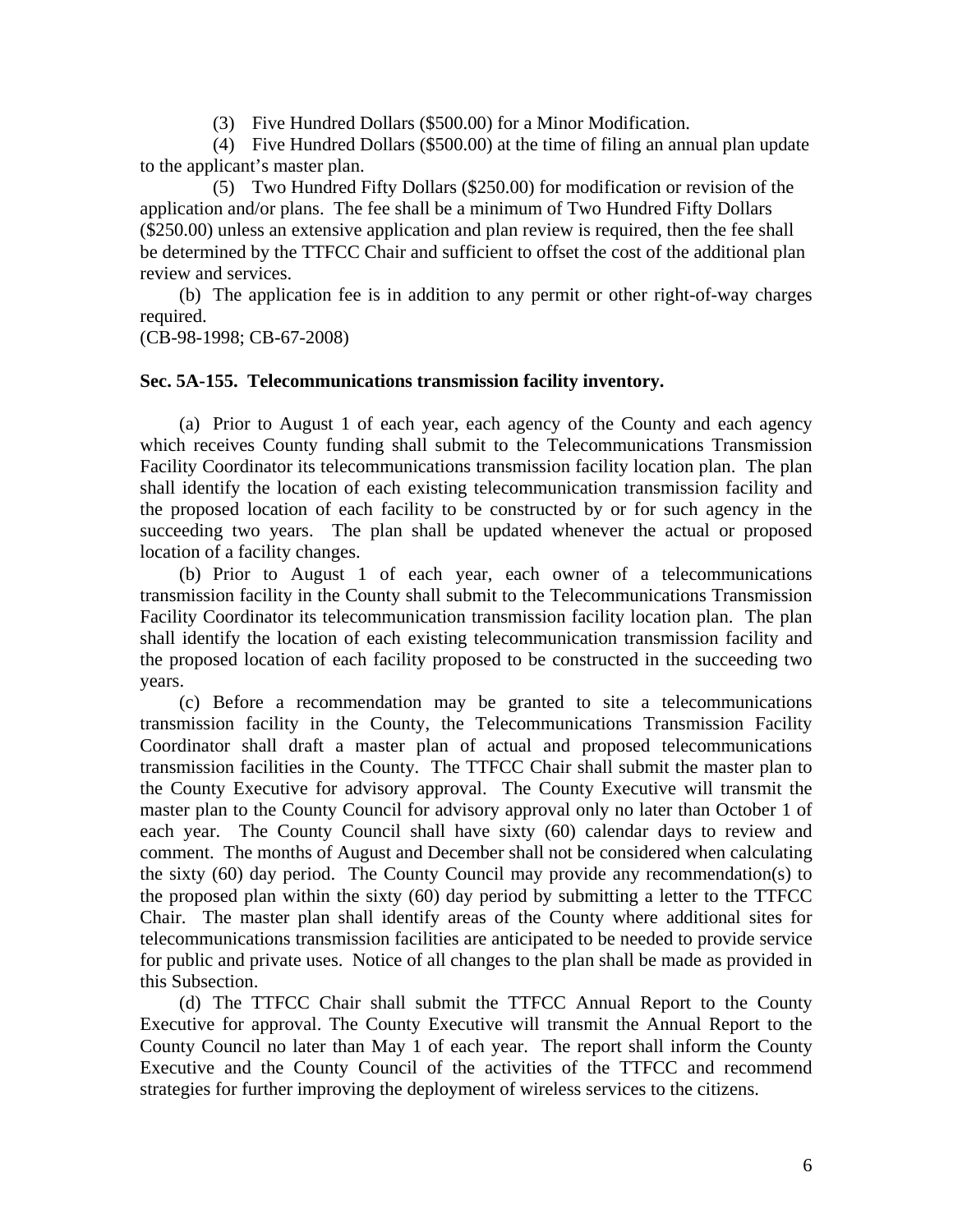(3) Five Hundred Dollars (\$500.00) for a Minor Modification.

 (4) Five Hundred Dollars (\$500.00) at the time of filing an annual plan update to the applicant's master plan.

 (5) Two Hundred Fifty Dollars (\$250.00) for modification or revision of the application and/or plans. The fee shall be a minimum of Two Hundred Fifty Dollars (\$250.00) unless an extensive application and plan review is required, then the fee shall be determined by the TTFCC Chair and sufficient to offset the cost of the additional plan review and services.

 (b) The application fee is in addition to any permit or other right-of-way charges required.

(CB-98-1998; CB-67-2008)

# **Sec. 5A-155. Telecommunications transmission facility inventory.**

 (a) Prior to August 1 of each year, each agency of the County and each agency which receives County funding shall submit to the Telecommunications Transmission Facility Coordinator its telecommunications transmission facility location plan. The plan shall identify the location of each existing telecommunication transmission facility and the proposed location of each facility to be constructed by or for such agency in the succeeding two years. The plan shall be updated whenever the actual or proposed location of a facility changes.

 (b) Prior to August 1 of each year, each owner of a telecommunications transmission facility in the County shall submit to the Telecommunications Transmission Facility Coordinator its telecommunication transmission facility location plan. The plan shall identify the location of each existing telecommunication transmission facility and the proposed location of each facility proposed to be constructed in the succeeding two years.

 (c) Before a recommendation may be granted to site a telecommunications transmission facility in the County, the Telecommunications Transmission Facility Coordinator shall draft a master plan of actual and proposed telecommunications transmission facilities in the County. The TTFCC Chair shall submit the master plan to the County Executive for advisory approval. The County Executive will transmit the master plan to the County Council for advisory approval only no later than October 1 of each year. The County Council shall have sixty (60) calendar days to review and comment. The months of August and December shall not be considered when calculating the sixty  $(60)$  day period. The County Council may provide any recommendation(s) to the proposed plan within the sixty (60) day period by submitting a letter to the TTFCC Chair. The master plan shall identify areas of the County where additional sites for telecommunications transmission facilities are anticipated to be needed to provide service for public and private uses. Notice of all changes to the plan shall be made as provided in this Subsection.

 (d) The TTFCC Chair shall submit the TTFCC Annual Report to the County Executive for approval. The County Executive will transmit the Annual Report to the County Council no later than May 1 of each year. The report shall inform the County Executive and the County Council of the activities of the TTFCC and recommend strategies for further improving the deployment of wireless services to the citizens.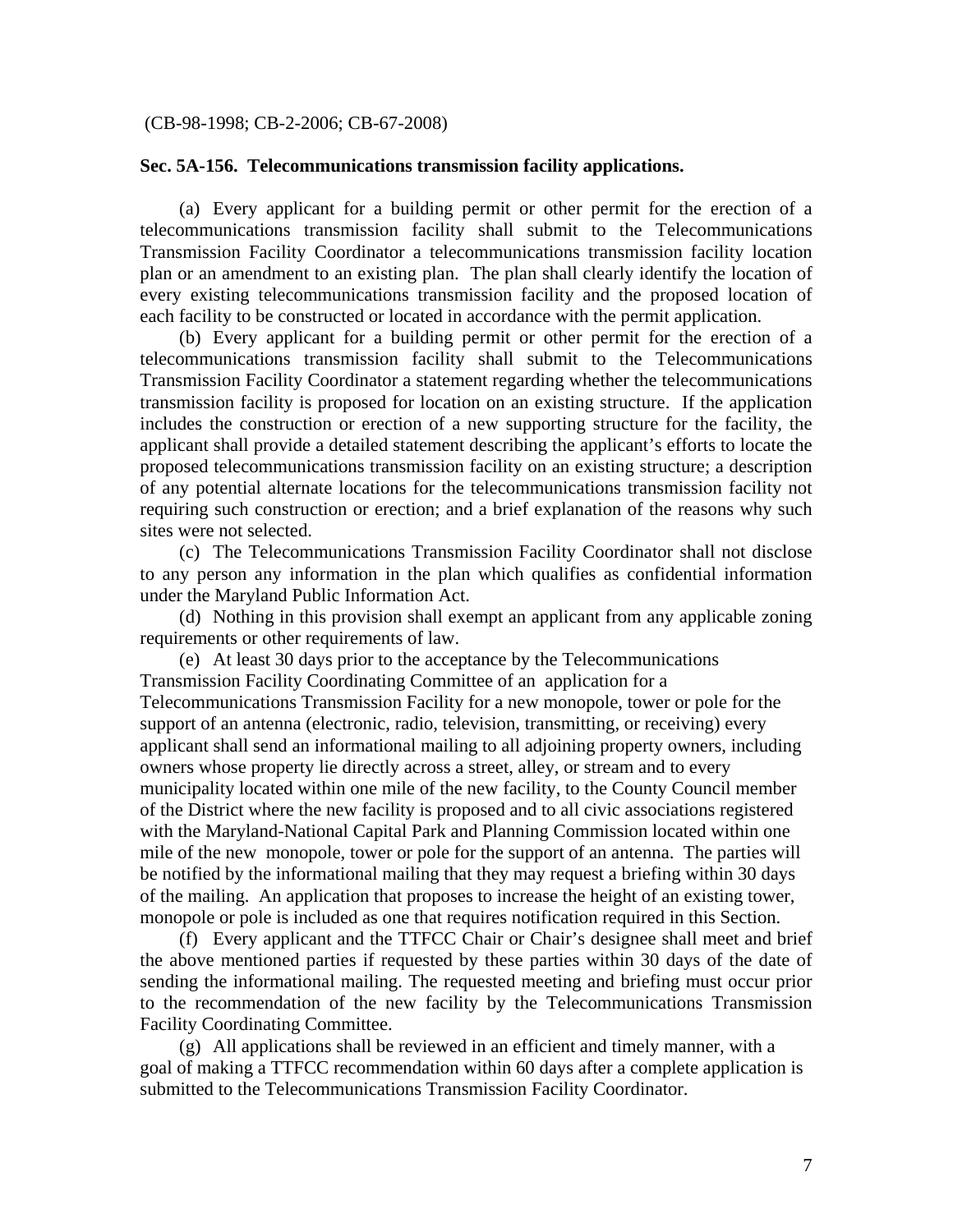#### (CB-98-1998; CB-2-2006; CB-67-2008)

### **Sec. 5A-156. Telecommunications transmission facility applications.**

 (a) Every applicant for a building permit or other permit for the erection of a telecommunications transmission facility shall submit to the Telecommunications Transmission Facility Coordinator a telecommunications transmission facility location plan or an amendment to an existing plan. The plan shall clearly identify the location of every existing telecommunications transmission facility and the proposed location of each facility to be constructed or located in accordance with the permit application.

 (b) Every applicant for a building permit or other permit for the erection of a telecommunications transmission facility shall submit to the Telecommunications Transmission Facility Coordinator a statement regarding whether the telecommunications transmission facility is proposed for location on an existing structure. If the application includes the construction or erection of a new supporting structure for the facility, the applicant shall provide a detailed statement describing the applicant's efforts to locate the proposed telecommunications transmission facility on an existing structure; a description of any potential alternate locations for the telecommunications transmission facility not requiring such construction or erection; and a brief explanation of the reasons why such sites were not selected.

 (c) The Telecommunications Transmission Facility Coordinator shall not disclose to any person any information in the plan which qualifies as confidential information under the Maryland Public Information Act.

 (d) Nothing in this provision shall exempt an applicant from any applicable zoning requirements or other requirements of law.

 (e) At least 30 days prior to the acceptance by the Telecommunications Transmission Facility Coordinating Committee of an application for a Telecommunications Transmission Facility for a new monopole, tower or pole for the support of an antenna (electronic, radio, television, transmitting, or receiving) every applicant shall send an informational mailing to all adjoining property owners, including owners whose property lie directly across a street, alley, or stream and to every municipality located within one mile of the new facility, to the County Council member of the District where the new facility is proposed and to all civic associations registered with the Maryland-National Capital Park and Planning Commission located within one mile of the new monopole, tower or pole for the support of an antenna. The parties will be notified by the informational mailing that they may request a briefing within 30 days of the mailing. An application that proposes to increase the height of an existing tower, monopole or pole is included as one that requires notification required in this Section.

 (f) Every applicant and the TTFCC Chair or Chair's designee shall meet and brief the above mentioned parties if requested by these parties within 30 days of the date of sending the informational mailing. The requested meeting and briefing must occur prior to the recommendation of the new facility by the Telecommunications Transmission Facility Coordinating Committee.

 (g) All applications shall be reviewed in an efficient and timely manner, with a goal of making a TTFCC recommendation within 60 days after a complete application is submitted to the Telecommunications Transmission Facility Coordinator.